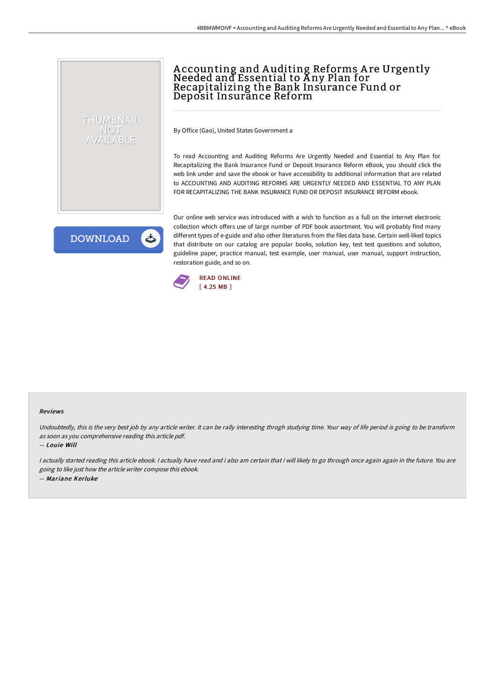# Accounting and Auditing Reforms Are Urgently<br>Needed and Essential to Any Plan for Recapitalizing the Bank Insurance Fund or Deposit Insurance Reform

By Office (Gao), United States Government a

To read Accounting and Auditing Reforms Are Urgently Needed and Essential to Any Plan for Recapitalizing the Bank Insurance Fund or Deposit Insurance Reform eBook, you should click the web link under and save the ebook or have accessibility to additional information that are related to ACCOUNTING AND AUDITING REFORMS ARE URGENTLY NEEDED AND ESSENTIAL TO ANY PLAN FOR RECAPITALIZING THE BANK INSURANCE FUND OR DEPOSIT INSURANCE REFORM ebook.

**DOWNLOAD** 

THUMBNAIL NOT AVAILABLE

> Our online web service was introduced with a wish to function as a full on the internet electronic collection which offers use of large number of PDF book assortment. You will probably find many different types of e-guide and also other literatures from the files data base. Certain well-liked topics that distribute on our catalog are popular books, solution key, test test questions and solution, guideline paper, practice manual, test example, user manual, user manual, support instruction, restoration guide, and so on.



#### Reviews

Undoubtedly, this is the very best job by any article writer. It can be rally interesting throgh studying time. Your way of life period is going to be transform as soon as you comprehensive reading this article pdf.

-- Louie Will

I actually started reading this article ebook. I actually have read and i also am certain that i will likely to go through once again again in the future. You are going to like just how the article writer compose this ebook. -- Mariane Kerluke